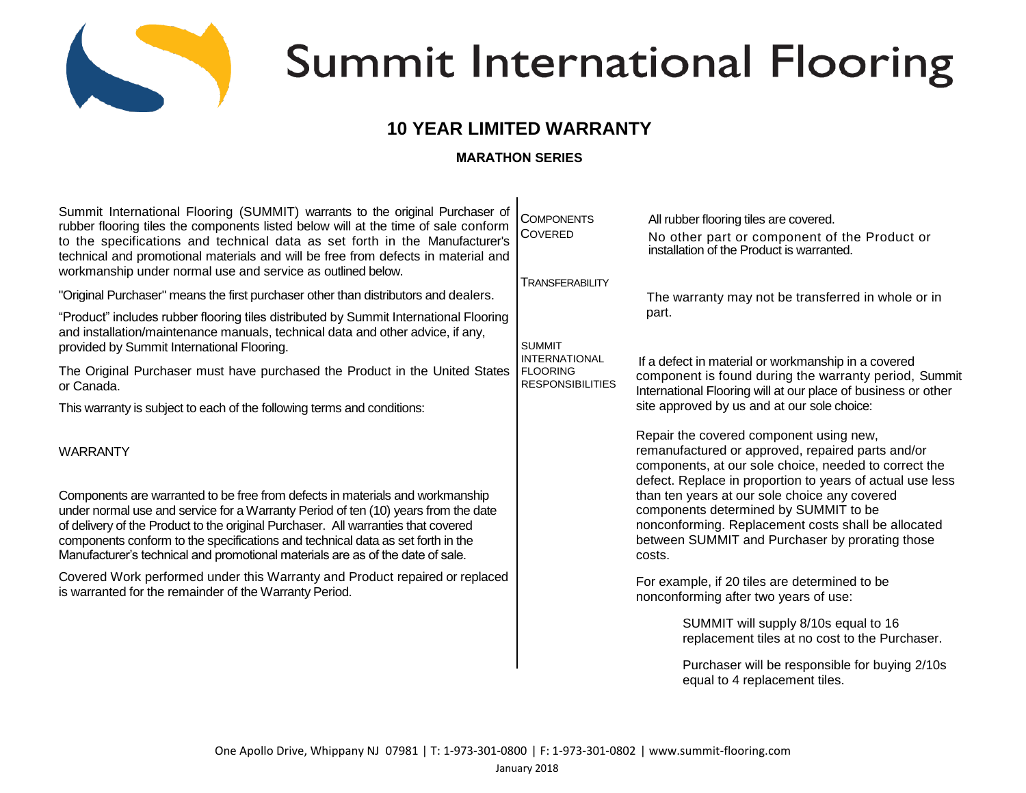

# **Summit International Flooring**

# **10 YEAR LIMITED WARRANTY**

# **MARATHON SERIES**

| Summit International Flooring (SUMMIT) warrants to the original Purchaser of                                                                                                                                                                                                                                                                                                                                                  | <b>COMPONENTS</b>                                                                   | All rubber flooring tiles are covered.                                                                                                                                                                                                                                                      |
|-------------------------------------------------------------------------------------------------------------------------------------------------------------------------------------------------------------------------------------------------------------------------------------------------------------------------------------------------------------------------------------------------------------------------------|-------------------------------------------------------------------------------------|---------------------------------------------------------------------------------------------------------------------------------------------------------------------------------------------------------------------------------------------------------------------------------------------|
| rubber flooring tiles the components listed below will at the time of sale conform<br>to the specifications and technical data as set forth in the Manufacturer's<br>technical and promotional materials and will be free from defects in material and                                                                                                                                                                        | <b>COVERED</b>                                                                      | No other part or component of the Product or<br>installation of the Product is warranted.                                                                                                                                                                                                   |
| workmanship under normal use and service as outlined below.                                                                                                                                                                                                                                                                                                                                                                   | <b>TRANSFERABILITY</b>                                                              |                                                                                                                                                                                                                                                                                             |
| "Original Purchaser" means the first purchaser other than distributors and dealers.                                                                                                                                                                                                                                                                                                                                           | <b>SUMMIT</b><br><b>INTERNATIONAL</b><br><b>FLOORING</b><br><b>RESPONSIBILITIES</b> | The warranty may not be transferred in whole or in<br>part.<br>If a defect in material or workmanship in a covered<br>component is found during the warranty period, Summit<br>International Flooring will at our place of business or other<br>site approved by us and at our sole choice: |
| "Product" includes rubber flooring tiles distributed by Summit International Flooring<br>and installation/maintenance manuals, technical data and other advice, if any,<br>provided by Summit International Flooring.                                                                                                                                                                                                         |                                                                                     |                                                                                                                                                                                                                                                                                             |
| The Original Purchaser must have purchased the Product in the United States<br>or Canada.                                                                                                                                                                                                                                                                                                                                     |                                                                                     |                                                                                                                                                                                                                                                                                             |
| This warranty is subject to each of the following terms and conditions:                                                                                                                                                                                                                                                                                                                                                       |                                                                                     |                                                                                                                                                                                                                                                                                             |
| <b>WARRANTY</b>                                                                                                                                                                                                                                                                                                                                                                                                               |                                                                                     | Repair the covered component using new,<br>remanufactured or approved, repaired parts and/or<br>components, at our sole choice, needed to correct the<br>defect. Replace in proportion to years of actual use less                                                                          |
| Components are warranted to be free from defects in materials and workmanship<br>under normal use and service for a Warranty Period of ten (10) years from the date<br>of delivery of the Product to the original Purchaser. All warranties that covered<br>components conform to the specifications and technical data as set forth in the<br>Manufacturer's technical and promotional materials are as of the date of sale. |                                                                                     | than ten years at our sole choice any covered<br>components determined by SUMMIT to be<br>nonconforming. Replacement costs shall be allocated<br>between SUMMIT and Purchaser by prorating those<br>costs.                                                                                  |
| Covered Work performed under this Warranty and Product repaired or replaced<br>is warranted for the remainder of the Warranty Period.                                                                                                                                                                                                                                                                                         |                                                                                     | For example, if 20 tiles are determined to be<br>nonconforming after two years of use:                                                                                                                                                                                                      |
|                                                                                                                                                                                                                                                                                                                                                                                                                               |                                                                                     | SUMMIT will supply 8/10s equal to 16<br>replacement tiles at no cost to the Purchaser.                                                                                                                                                                                                      |
|                                                                                                                                                                                                                                                                                                                                                                                                                               |                                                                                     | Purchaser will be responsible for buying 2/10s<br>equal to 4 replacement tiles.                                                                                                                                                                                                             |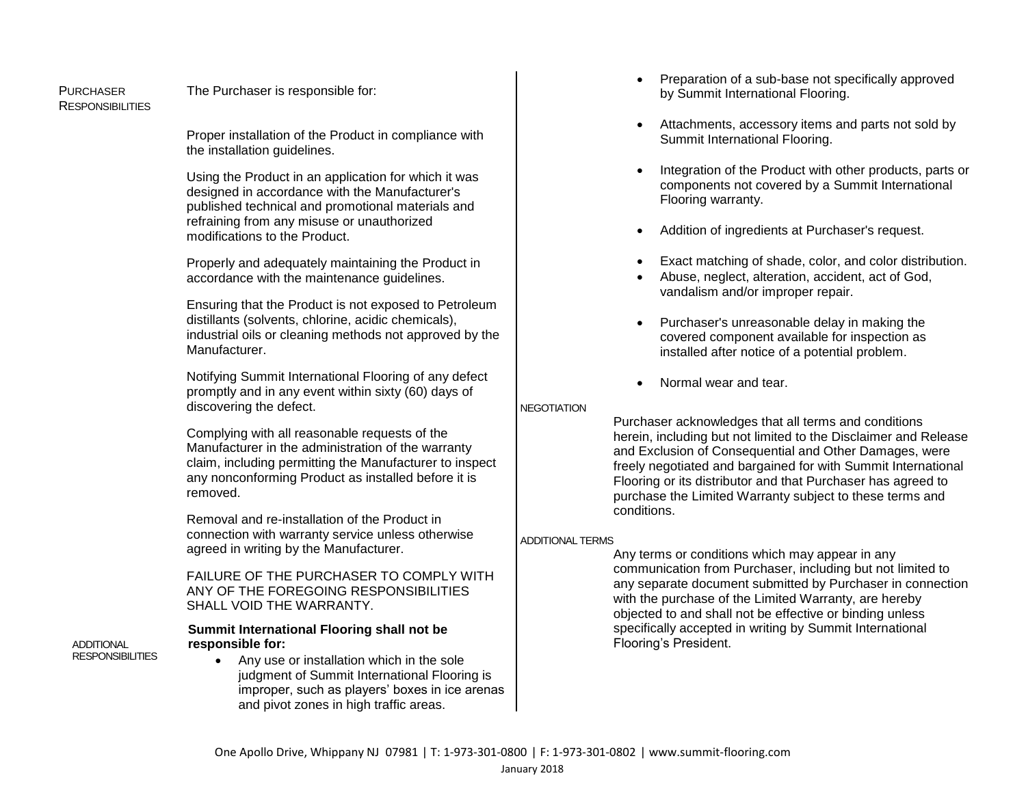RESPONSIBILITIES

#### PURCHASER The Purchaser is responsible for:

Proper installation of the Product in compliance with the installation guidelines.

Using the Product in an application for which it was designed in accordance with the Manufacturer's published technical and promotional materials and refraining from any misuse or unauthorized modifications to the Product.

Properly and adequately maintaining the Product in accordance with the maintenance guidelines.

Ensuring that the Product is not exposed to Petroleum distillants (solvents, chlorine, acidic chemicals), industrial oils or cleaning methods not approved by the Manufacturer.

Notifying Summit International Flooring of any defect promptly and in any event within sixty (60) days of discovering the defect.

Complying with all reasonable requests of the Manufacturer in the administration of the warranty claim, including permitting the Manufacturer to inspect any nonconforming Product as installed before it is removed.

Removal and re-installation of the Product in connection with warranty service unless otherwise agreed in writing by the Manufacturer.

FAILURE OF THE PURCHASER TO COMPLY WITH ANY OF THE FOREGOING RESPONSIBILITIES SHALL VOID THE WARRANTY.

#### **Summit International Flooring shall not be responsible for:**

**ADDITIONAL RESPONSIBILITIES** 

 Any use or installation which in the sole judgment of Summit International Flooring is improper, such as players' boxes in ice arenas and pivot zones in high traffic areas.

- Preparation of a sub-base not specifically approved by Summit International Flooring.
- Attachments, accessory items and parts not sold by Summit International Flooring.
- Integration of the Product with other products, parts or components not covered by a Summit International Flooring warranty.
- Addition of ingredients at Purchaser's request.
- Exact matching of shade, color, and color distribution.
- Abuse, neglect, alteration, accident, act of God, vandalism and/or improper repair.
- Purchaser's unreasonable delay in making the covered component available for inspection as installed after notice of a potential problem.
- Normal wear and tear.

## **NEGOTIATION**

Purchaser acknowledges that all terms and conditions herein, including but not limited to the Disclaimer and Release and Exclusion of Consequential and Other Damages, were freely negotiated and bargained for with Summit International Flooring or its distributor and that Purchaser has agreed to purchase the Limited Warranty subject to these terms and conditions.

## ADDITIONAL TERMS

Any terms or conditions which may appear in any communication from Purchaser, including but not limited to any separate document submitted by Purchaser in connection with the purchase of the Limited Warranty, are hereby objected to and shall not be effective or binding unless specifically accepted in writing by Summit International Flooring's President.